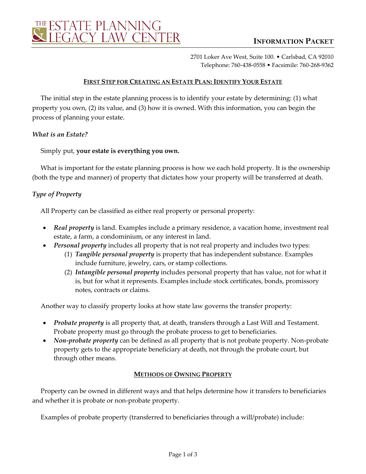

2701 Loker Ave West, Suite 100. • Carlsbad, CA 92010 Telephone: 760-438-0558 • Facsimile: 760-268-9362

### **FIRST STEP FOR CREATING AN ESTATE PLAN: IDENTIFY YOUR ESTATE**

The initial step in the estate planning process is to identify your estate by determining: (1) what property you own, (2) its value, and (3) how it is owned. With this information, you can begin the process of planning your estate.

#### *What is an Estate?*

#### Simply put, **your estate is everything you own.**

What is important for the estate planning process is how we each hold property. It is the ownership (both the type and manner) of property that dictates how your property will be transferred at death.

# *Type of Property*

All Property can be classified as either real property or personal property:

- *Real property* is land. Examples include a primary residence, a vacation home, investment real estate, a farm, a condominium, or any interest in land.
- *Personal property* includes all property that is not real property and includes two types:
	- (1) *Tangible personal property* is property that has independent substance. Examples include furniture, jewelry, cars, or stamp collections.
	- (2) *Intangible personal property* includes personal property that has value, not for what it is, but for what it represents. Examples include stock certificates, bonds, promissory notes, contracts or claims.

Another way to classify property looks at how state law governs the transfer property:

- *Probate property* is all property that, at death, transfers through a Last Will and Testament. Probate property must go through the probate process to get to beneficiaries.
- *Non-probate property* can be defined as all property that is not probate property. Non-probate property gets to the appropriate beneficiary at death, not through the probate court, but through other means.

# **METHODS OF OWNING PROPERTY**

Property can be owned in different ways and that helps determine how it transfers to beneficiaries and whether it is probate or non-probate property.

Examples of probate property (transferred to beneficiaries through a will/probate) include: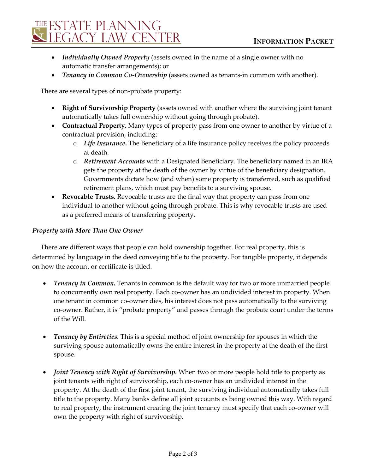

- *Individually Owned Property* (assets owned in the name of a single owner with no automatic transfer arrangements); or
- *Tenancy in Common Co-Ownership* (assets owned as tenants-in common with another).

There are several types of non-probate property:

- **Right of Survivorship Property** (assets owned with another where the surviving joint tenant automatically takes full ownership without going through probate).
- **Contractual Property.** Many types of property pass from one owner to another by virtue of a contractual provision, including:
	- o *Life Insurance***.** The Beneficiary of a life insurance policy receives the policy proceeds at death.
	- o *Retirement Accounts* with a Designated Beneficiary. The beneficiary named in an IRA gets the property at the death of the owner by virtue of the beneficiary designation. Governments dictate how (and when) some property is transferred, such as qualified retirement plans, which must pay benefits to a surviving spouse.
- **Revocable Trusts.** Revocable trusts are the final way that property can pass from one individual to another without going through probate. This is why revocable trusts are used as a preferred means of transferring property.

#### *Property with More Than One Owner*

There are different ways that people can hold ownership together. For real property, this is determined by language in the deed conveying title to the property. For tangible property, it depends on how the account or certificate is titled.

- *Tenancy in Common.* Tenants in common is the default way for two or more unmarried people to concurrently own real property. Each co-owner has an undivided interest in property. When one tenant in common co-owner dies, his interest does not pass automatically to the surviving co-owner. Rather, it is "probate property" and passes through the probate court under the terms of the Will.
- *Tenancy by Entireties.* This is a special method of joint ownership for spouses in which the surviving spouse automatically owns the entire interest in the property at the death of the first spouse.
- *Joint Tenancy with Right of Survivorship.* When two or more people hold title to property as joint tenants with right of survivorship, each co-owner has an undivided interest in the property. At the death of the first joint tenant, the surviving individual automatically takes full title to the property. Many banks define all joint accounts as being owned this way. With regard to real property, the instrument creating the joint tenancy must specify that each co-owner will own the property with right of survivorship.